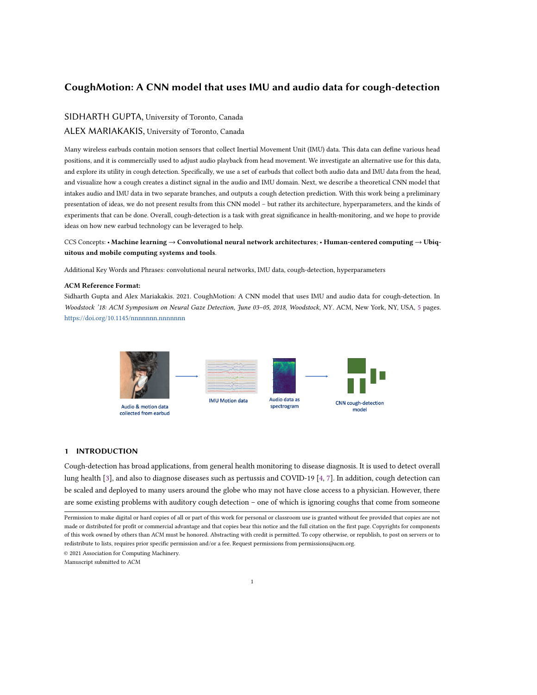# CoughMotion: A CNN model that uses IMU and audio data for cough-detection

# SIDHARTH GUPTA, University of Toronto, Canada

# ALEX MARIAKAKIS, University of Toronto, Canada

Many wireless earbuds contain motion sensors that collect Inertial Movement Unit (IMU) data. This data can define various head positions, and it is commercially used to adjust audio playback from head movement. We investigate an alternative use for this data, and explore its utility in cough detection. Specifically, we use a set of earbuds that collect both audio data and IMU data from the head, and visualize how a cough creates a distinct signal in the audio and IMU domain. Next, we describe a theoretical CNN model that intakes audio and IMU data in two separate branches, and outputs a cough detection prediction. With this work being a preliminary presentation of ideas, we do not present results from this CNN model – but rather its architecture, hyperparameters, and the kinds of experiments that can be done. Overall, cough-detection is a task with great significance in health-monitoring, and we hope to provide ideas on how new earbud technology can be leveraged to help.

CCS Concepts: • Machine learning → Convolutional neural network architectures; • Human-centered computing → Ubiquitous and mobile computing systems and tools.

Additional Key Words and Phrases: convolutional neural networks, IMU data, cough-detection, hyperparameters

#### ACM Reference Format:

Sidharth Gupta and Alex Mariakakis. 2021. CoughMotion: A CNN model that uses IMU and audio data for cough-detection. In Woodstock '18: ACM Symposium on Neural Gaze Detection, June 03–05, 2018, Woodstock, NY. ACM, New York, NY, USA, [5](#page-4-0) pages. <https://doi.org/10.1145/nnnnnnn.nnnnnnn>n



# 1 INTRODUCTION

Cough-detection has broad applications, from general health monitoring to disease diagnosis. It is used to detect overall lung health [\[3\]](#page-4-1), and also to diagnose diseases such as pertussis and COVID-19 [\[4,](#page-4-2) [7\]](#page-4-3). In addition, cough detection can be scaled and deployed to many users around the globe who may not have close access to a physician. However, there are some existing problems with auditory cough detection – one of which is ignoring coughs that come from someone

© 2021 Association for Computing Machinery.

Manuscript submitted to ACM

Permission to make digital or hard copies of all or part of this work for personal or classroom use is granted without fee provided that copies are not made or distributed for profit or commercial advantage and that copies bear this notice and the full citation on the first page. Copyrights for components of this work owned by others than ACM must be honored. Abstracting with credit is permitted. To copy otherwise, or republish, to post on servers or to redistribute to lists, requires prior specific permission and/or a fee. Request permissions from permissions@acm.org.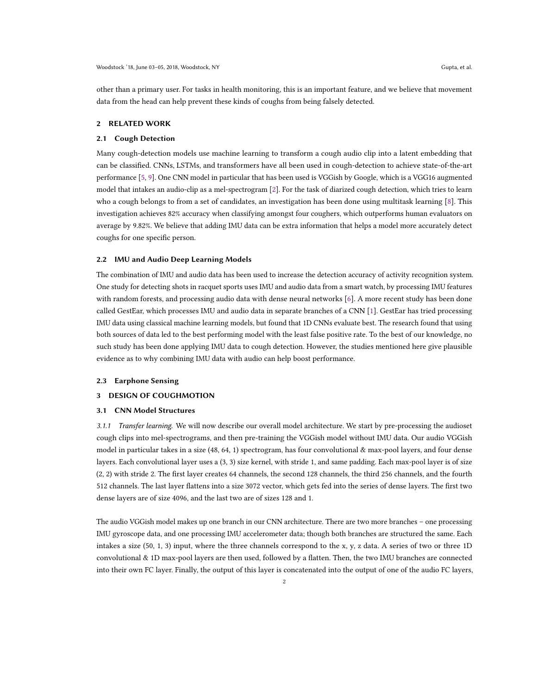other than a primary user. For tasks in health monitoring, this is an important feature, and we believe that movement data from the head can help prevent these kinds of coughs from being falsely detected.

#### 2 RELATED WORK

#### 2.1 Cough Detection

Many cough-detection models use machine learning to transform a cough audio clip into a latent embedding that can be classified. CNNs, LSTMs, and transformers have all been used in cough-detection to achieve state-of-the-art performance [\[5,](#page-4-4) [9\]](#page-4-5). One CNN model in particular that has been used is VGGish by Google, which is a VGG16 augmented model that intakes an audio-clip as a mel-spectrogram [\[2\]](#page-4-6). For the task of diarized cough detection, which tries to learn who a cough belongs to from a set of candidates, an investigation has been done using multitask learning [\[8\]](#page-4-7). This investigation achieves 82% accuracy when classifying amongst four coughers, which outperforms human evaluators on average by 9.82%. We believe that adding IMU data can be extra information that helps a model more accurately detect coughs for one specific person.

#### 2.2 IMU and Audio Deep Learning Models

The combination of IMU and audio data has been used to increase the detection accuracy of activity recognition system. One study for detecting shots in racquet sports uses IMU and audio data from a smart watch, by processing IMU features with random forests, and processing audio data with dense neural networks [\[6\]](#page-4-8). A more recent study has been done called GestEar, which processes IMU and audio data in separate branches of a CNN [\[1\]](#page-4-9). GestEar has tried processing IMU data using classical machine learning models, but found that 1D CNNs evaluate best. The research found that using both sources of data led to the best performing model with the least false positive rate. To the best of our knowledge, no such study has been done applying IMU data to cough detection. However, the studies mentioned here give plausible evidence as to why combining IMU data with audio can help boost performance.

#### 2.3 Earphone Sensing

### 3 DESIGN OF COUGHMOTION

# 3.1 CNN Model Structures

3.1.1 Transfer learning. We will now describe our overall model architecture. We start by pre-processing the audioset cough clips into mel-spectrograms, and then pre-training the VGGish model without IMU data. Our audio VGGish model in particular takes in a size (48, 64, 1) spectrogram, has four convolutional & max-pool layers, and four dense layers. Each convolutional layer uses a (3, 3) size kernel, with stride 1, and same padding. Each max-pool layer is of size (2, 2) with stride 2. The first layer creates 64 channels, the second 128 channels, the third 256 channels, and the fourth 512 channels. The last layer flattens into a size 3072 vector, which gets fed into the series of dense layers. The first two dense layers are of size 4096, and the last two are of sizes 128 and 1.

The audio VGGish model makes up one branch in our CNN architecture. There are two more branches – one processing IMU gyroscope data, and one processing IMU accelerometer data; though both branches are structured the same. Each intakes a size (50, 1, 3) input, where the three channels correspond to the x, y, z data. A series of two or three 1D convolutional & 1D max-pool layers are then used, followed by a flatten. Then, the two IMU branches are connected into their own FC layer. Finally, the output of this layer is concatenated into the output of one of the audio FC layers,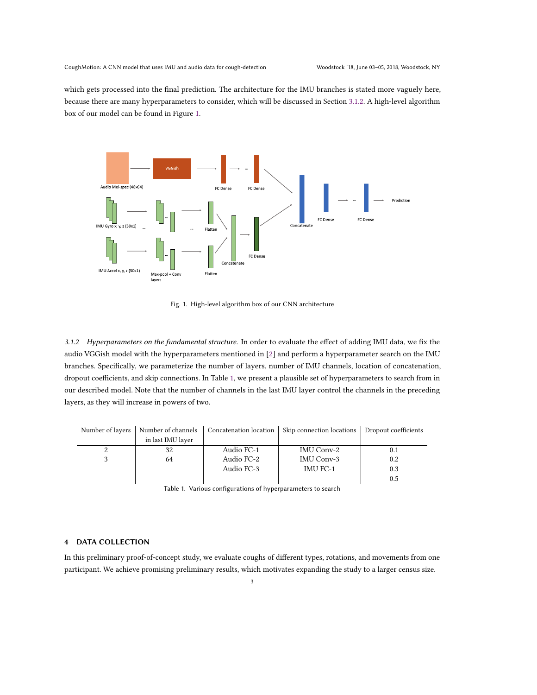which gets processed into the final prediction. The architecture for the IMU branches is stated more vaguely here, because there are many hyperparameters to consider, which will be discussed in Section [3.1.2.](#page-2-0) A high-level algorithm box of our model can be found in Figure [1.](#page-2-1)

<span id="page-2-1"></span>

Fig. 1. High-level algorithm box of our CNN architecture

<span id="page-2-0"></span>3.1.2 Hyperparameters on the fundamental structure. In order to evaluate the effect of adding IMU data, we fix the audio VGGish model with the hyperparameters mentioned in [\[2\]](#page-4-6) and perform a hyperparameter search on the IMU branches. Specifically, we parameterize the number of layers, number of IMU channels, location of concatenation, dropout coefficients, and skip connections. In Table [1,](#page-2-2) we present a plausible set of hyperparameters to search from in our described model. Note that the number of channels in the last IMU layer control the channels in the preceding layers, as they will increase in powers of two.

<span id="page-2-2"></span>

| Number of layers | Number of channels | Concatenation location | Skip connection locations   Dropout coefficients |     |
|------------------|--------------------|------------------------|--------------------------------------------------|-----|
|                  | in last IMU layer  |                        |                                                  |     |
| 2                | 32                 | Audio FC-1             | IMU Conv-2                                       |     |
|                  | 64                 | Audio FC-2             | IMU Conv-3                                       | 0.2 |
|                  |                    | Audio FC-3             | <b>IMU FC-1</b>                                  | 0.3 |
|                  |                    |                        |                                                  | 0.5 |

Table 1. Various configurations of hyperparameters to search

## 4 DATA COLLECTION

In this preliminary proof-of-concept study, we evaluate coughs of different types, rotations, and movements from one participant. We achieve promising preliminary results, which motivates expanding the study to a larger census size.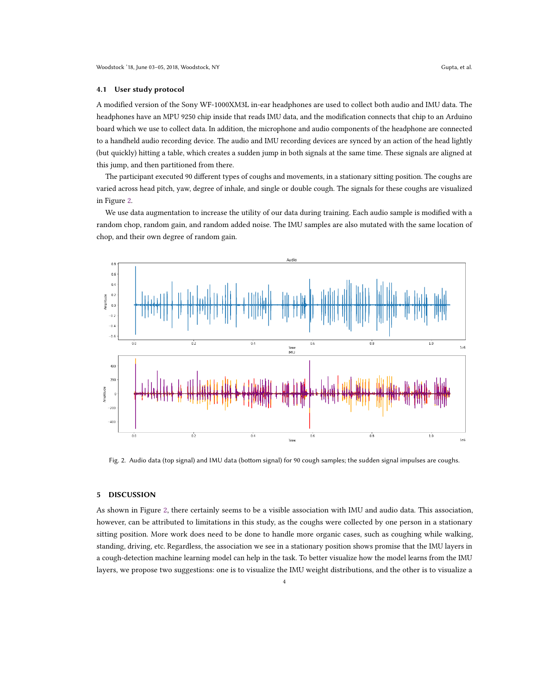#### 4.1 User study protocol

A modified version of the Sony WF-1000XM3L in-ear headphones are used to collect both audio and IMU data. The headphones have an MPU 9250 chip inside that reads IMU data, and the modification connects that chip to an Arduino board which we use to collect data. In addition, the microphone and audio components of the headphone are connected to a handheld audio recording device. The audio and IMU recording devices are synced by an action of the head lightly (but quickly) hitting a table, which creates a sudden jump in both signals at the same time. These signals are aligned at this jump, and then partitioned from there.

The participant executed 90 different types of coughs and movements, in a stationary sitting position. The coughs are varied across head pitch, yaw, degree of inhale, and single or double cough. The signals for these coughs are visualized in Figure [2.](#page-3-0)

We use data augmentation to increase the utility of our data during training. Each audio sample is modified with a random chop, random gain, and random added noise. The IMU samples are also mutated with the same location of chop, and their own degree of random gain.

<span id="page-3-0"></span>

Fig. 2. Audio data (top signal) and IMU data (bottom signal) for 90 cough samples; the sudden signal impulses are coughs.

# 5 DISCUSSION

As shown in Figure [2,](#page-3-0) there certainly seems to be a visible association with IMU and audio data. This association, however, can be attributed to limitations in this study, as the coughs were collected by one person in a stationary sitting position. More work does need to be done to handle more organic cases, such as coughing while walking, standing, driving, etc. Regardless, the association we see in a stationary position shows promise that the IMU layers in a cough-detection machine learning model can help in the task. To better visualize how the model learns from the IMU layers, we propose two suggestions: one is to visualize the IMU weight distributions, and the other is to visualize a